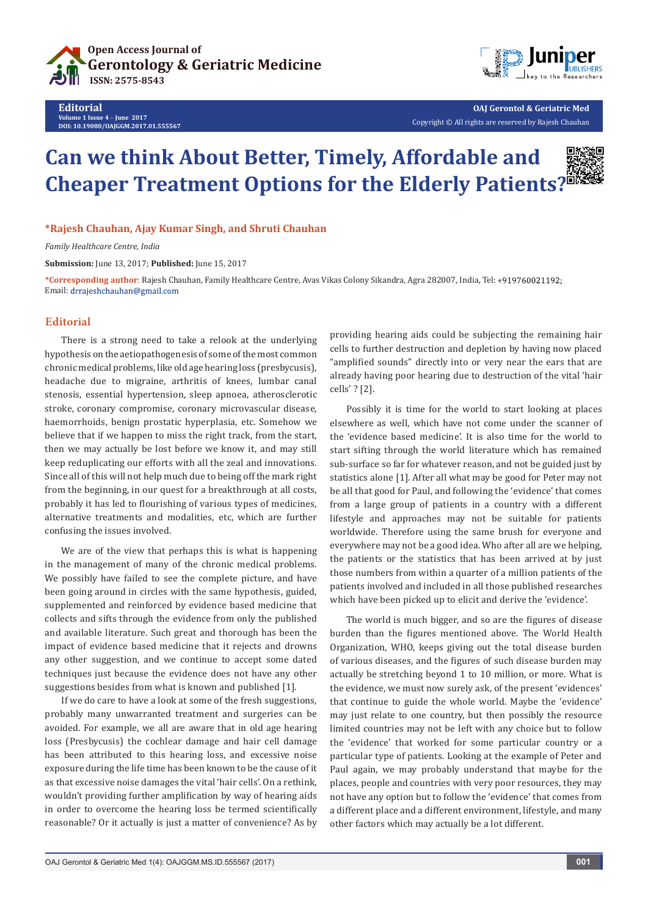



**OAJ Gerontol & Geriatric Med** Copyright © All rights are reserved by Rajesh Chauhan

## **Can we think About Better, Timely, Affordable and Cheaper Treatment Options for the Elderly Patients?**

**\*Rajesh Chauhan, Ajay Kumar Singh, and Shruti Chauhan**

*Family Healthcare Centre, India*

**Submission:** June 13, 2017; **Published:** June 15, 2017

**\*Corresponding author**: Rajesh Chauhan, Family Healthcare Centre, Avas Vikas Colony Sikandra, Agra 282007, India, Tel: Email: drrajeshchauhan@gmail.com

## **Editorial**

There is a strong need to take a relook at the underlying hypothesis on the aetiopathogenesis of some of the most common chronic medical problems, like old age hearing loss (presbycusis), headache due to migraine, arthritis of knees, lumbar canal stenosis, essential hypertension, sleep apnoea, atherosclerotic stroke, coronary compromise, coronary microvascular disease, haemorrhoids, benign prostatic hyperplasia, etc. Somehow we believe that if we happen to miss the right track, from the start, then we may actually be lost before we know it, and may still keep reduplicating our efforts with all the zeal and innovations. Since all of this will not help much due to being off the mark right from the beginning, in our quest for a breakthrough at all costs, probably it has led to flourishing of various types of medicines, alternative treatments and modalities, etc, which are further confusing the issues involved.

We are of the view that perhaps this is what is happening in the management of many of the chronic medical problems. We possibly have failed to see the complete picture, and have been going around in circles with the same hypothesis, guided, supplemented and reinforced by evidence based medicine that collects and sifts through the evidence from only the published and available literature. Such great and thorough has been the impact of evidence based medicine that it rejects and drowns any other suggestion, and we continue to accept some dated techniques just because the evidence does not have any other suggestions besides from what is known and published [1].

If we do care to have a look at some of the fresh suggestions, probably many unwarranted treatment and surgeries can be avoided. For example, we all are aware that in old age hearing loss (Presbycusis) the cochlear damage and hair cell damage has been attributed to this hearing loss, and excessive noise exposure during the life time has been known to be the cause of it as that excessive noise damages the vital 'hair cells'. On a rethink, wouldn't providing further amplification by way of hearing aids in order to overcome the hearing loss be termed scientifically reasonable? Or it actually is just a matter of convenience? As by

providing hearing aids could be subjecting the remaining hair cells to further destruction and depletion by having now placed "amplified sounds" directly into or very near the ears that are already having poor hearing due to destruction of the vital 'hair cells' ? [2].

Possibly it is time for the world to start looking at places elsewhere as well, which have not come under the scanner of the 'evidence based medicine'. It is also time for the world to start sifting through the world literature which has remained sub-surface so far for whatever reason, and not be guided just by statistics alone [1]. After all what may be good for Peter may not be all that good for Paul, and following the 'evidence' that comes from a large group of patients in a country with a different lifestyle and approaches may not be suitable for patients worldwide. Therefore using the same brush for everyone and everywhere may not be a good idea. Who after all are we helping, the patients or the statistics that has been arrived at by just those numbers from within a quarter of a million patients of the patients involved and included in all those published researches which have been picked up to elicit and derive the 'evidence'.

The world is much bigger, and so are the figures of disease burden than the figures mentioned above. The World Health Organization, WHO, keeps giving out the total disease burden of various diseases, and the figures of such disease burden may actually be stretching beyond 1 to 10 million, or more. What is the evidence, we must now surely ask, of the present 'evidences' that continue to guide the whole world. Maybe the 'evidence' may just relate to one country, but then possibly the resource limited countries may not be left with any choice but to follow the 'evidence' that worked for some particular country or a particular type of patients. Looking at the example of Peter and Paul again, we may probably understand that maybe for the places, people and countries with very poor resources, they may not have any option but to follow the 'evidence' that comes from a different place and a different environment, lifestyle, and many other factors which may actually be a lot different.